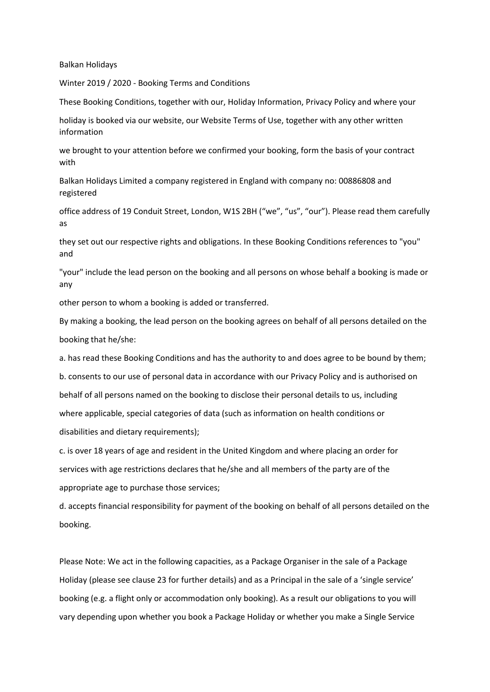Balkan Holidays

Winter 2019 / 2020 - Booking Terms and Conditions

These Booking Conditions, together with our, Holiday Information, Privacy Policy and where your

holiday is booked via our website, our Website Terms of Use, together with any other written information

we brought to your attention before we confirmed your booking, form the basis of your contract with

Balkan Holidays Limited a company registered in England with company no: 00886808 and registered

office address of 19 Conduit Street, London, W1S 2BH ("we", "us", "our"). Please read them carefully as

they set out our respective rights and obligations. In these Booking Conditions references to "you" and

"your" include the lead person on the booking and all persons on whose behalf a booking is made or any

other person to whom a booking is added or transferred.

By making a booking, the lead person on the booking agrees on behalf of all persons detailed on the booking that he/she:

a. has read these Booking Conditions and has the authority to and does agree to be bound by them;

b. consents to our use of personal data in accordance with our Privacy Policy and is authorised on behalf of all persons named on the booking to disclose their personal details to us, including where applicable, special categories of data (such as information on health conditions or disabilities and dietary requirements);

c. is over 18 years of age and resident in the United Kingdom and where placing an order for services with age restrictions declares that he/she and all members of the party are of the appropriate age to purchase those services;

d. accepts financial responsibility for payment of the booking on behalf of all persons detailed on the booking.

Please Note: We act in the following capacities, as a Package Organiser in the sale of a Package Holiday (please see clause 23 for further details) and as a Principal in the sale of a 'single service' booking (e.g. a flight only or accommodation only booking). As a result our obligations to you will vary depending upon whether you book a Package Holiday or whether you make a Single Service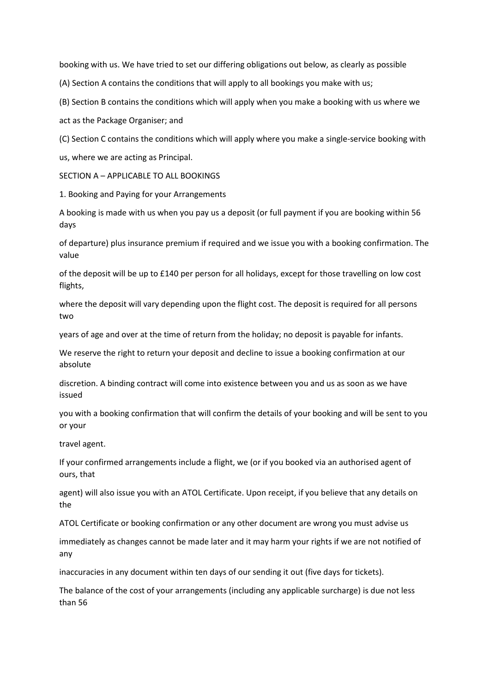booking with us. We have tried to set our differing obligations out below, as clearly as possible

(A) Section A contains the conditions that will apply to all bookings you make with us;

(B) Section B contains the conditions which will apply when you make a booking with us where we

act as the Package Organiser; and

(C) Section C contains the conditions which will apply where you make a single-service booking with us, where we are acting as Principal.

SECTION A – APPLICABLE TO ALL BOOKINGS

1. Booking and Paying for your Arrangements

A booking is made with us when you pay us a deposit (or full payment if you are booking within 56 days

of departure) plus insurance premium if required and we issue you with a booking confirmation. The value

of the deposit will be up to £140 per person for all holidays, except for those travelling on low cost flights,

where the deposit will vary depending upon the flight cost. The deposit is required for all persons two

years of age and over at the time of return from the holiday; no deposit is payable for infants.

We reserve the right to return your deposit and decline to issue a booking confirmation at our absolute

discretion. A binding contract will come into existence between you and us as soon as we have issued

you with a booking confirmation that will confirm the details of your booking and will be sent to you or your

travel agent.

If your confirmed arrangements include a flight, we (or if you booked via an authorised agent of ours, that

agent) will also issue you with an ATOL Certificate. Upon receipt, if you believe that any details on the

ATOL Certificate or booking confirmation or any other document are wrong you must advise us

immediately as changes cannot be made later and it may harm your rights if we are not notified of any

inaccuracies in any document within ten days of our sending it out (five days for tickets).

The balance of the cost of your arrangements (including any applicable surcharge) is due not less than 56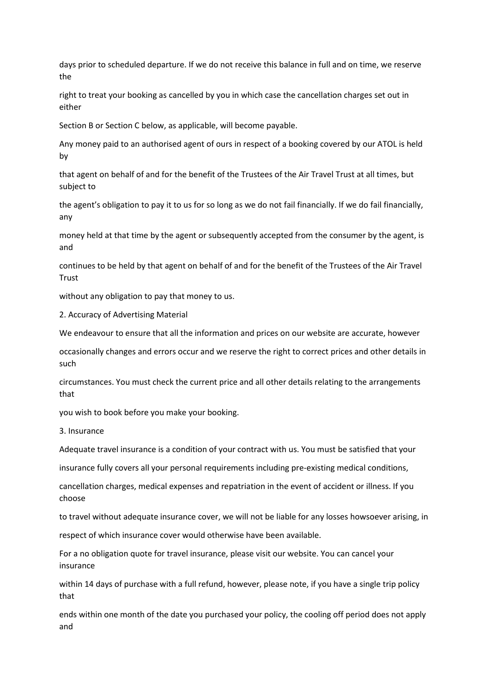days prior to scheduled departure. If we do not receive this balance in full and on time, we reserve the

right to treat your booking as cancelled by you in which case the cancellation charges set out in either

Section B or Section C below, as applicable, will become payable.

Any money paid to an authorised agent of ours in respect of a booking covered by our ATOL is held by

that agent on behalf of and for the benefit of the Trustees of the Air Travel Trust at all times, but subject to

the agent's obligation to pay it to us for so long as we do not fail financially. If we do fail financially, any

money held at that time by the agent or subsequently accepted from the consumer by the agent, is and

continues to be held by that agent on behalf of and for the benefit of the Trustees of the Air Travel Trust

without any obligation to pay that money to us.

2. Accuracy of Advertising Material

We endeavour to ensure that all the information and prices on our website are accurate, however

occasionally changes and errors occur and we reserve the right to correct prices and other details in such

circumstances. You must check the current price and all other details relating to the arrangements that

you wish to book before you make your booking.

3. Insurance

Adequate travel insurance is a condition of your contract with us. You must be satisfied that your

insurance fully covers all your personal requirements including pre-existing medical conditions,

cancellation charges, medical expenses and repatriation in the event of accident or illness. If you choose

to travel without adequate insurance cover, we will not be liable for any losses howsoever arising, in

respect of which insurance cover would otherwise have been available.

For a no obligation quote for travel insurance, please visit our website. You can cancel your insurance

within 14 days of purchase with a full refund, however, please note, if you have a single trip policy that

ends within one month of the date you purchased your policy, the cooling off period does not apply and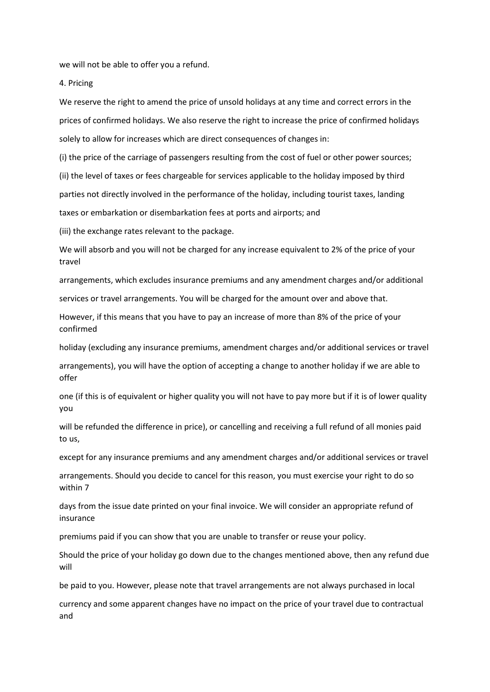we will not be able to offer you a refund.

4. Pricing

We reserve the right to amend the price of unsold holidays at any time and correct errors in the prices of confirmed holidays. We also reserve the right to increase the price of confirmed holidays solely to allow for increases which are direct consequences of changes in:

(i) the price of the carriage of passengers resulting from the cost of fuel or other power sources;

(ii) the level of taxes or fees chargeable for services applicable to the holiday imposed by third

parties not directly involved in the performance of the holiday, including tourist taxes, landing taxes or embarkation or disembarkation fees at ports and airports; and

(iii) the exchange rates relevant to the package.

We will absorb and you will not be charged for any increase equivalent to 2% of the price of your travel

arrangements, which excludes insurance premiums and any amendment charges and/or additional services or travel arrangements. You will be charged for the amount over and above that.

However, if this means that you have to pay an increase of more than 8% of the price of your confirmed

holiday (excluding any insurance premiums, amendment charges and/or additional services or travel

arrangements), you will have the option of accepting a change to another holiday if we are able to offer

one (if this is of equivalent or higher quality you will not have to pay more but if it is of lower quality you

will be refunded the difference in price), or cancelling and receiving a full refund of all monies paid to us,

except for any insurance premiums and any amendment charges and/or additional services or travel

arrangements. Should you decide to cancel for this reason, you must exercise your right to do so within 7

days from the issue date printed on your final invoice. We will consider an appropriate refund of insurance

premiums paid if you can show that you are unable to transfer or reuse your policy.

Should the price of your holiday go down due to the changes mentioned above, then any refund due will

be paid to you. However, please note that travel arrangements are not always purchased in local

currency and some apparent changes have no impact on the price of your travel due to contractual and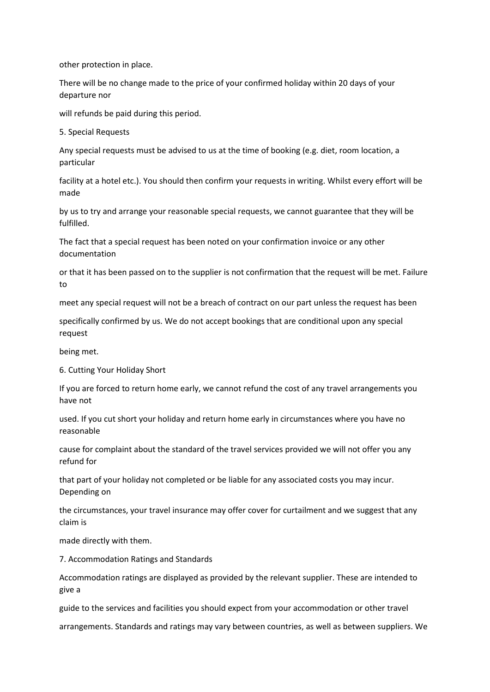other protection in place.

There will be no change made to the price of your confirmed holiday within 20 days of your departure nor

will refunds be paid during this period.

5. Special Requests

Any special requests must be advised to us at the time of booking (e.g. diet, room location, a particular

facility at a hotel etc.). You should then confirm your requests in writing. Whilst every effort will be made

by us to try and arrange your reasonable special requests, we cannot guarantee that they will be fulfilled.

The fact that a special request has been noted on your confirmation invoice or any other documentation

or that it has been passed on to the supplier is not confirmation that the request will be met. Failure to

meet any special request will not be a breach of contract on our part unless the request has been

specifically confirmed by us. We do not accept bookings that are conditional upon any special request

being met.

6. Cutting Your Holiday Short

If you are forced to return home early, we cannot refund the cost of any travel arrangements you have not

used. If you cut short your holiday and return home early in circumstances where you have no reasonable

cause for complaint about the standard of the travel services provided we will not offer you any refund for

that part of your holiday not completed or be liable for any associated costs you may incur. Depending on

the circumstances, your travel insurance may offer cover for curtailment and we suggest that any claim is

made directly with them.

7. Accommodation Ratings and Standards

Accommodation ratings are displayed as provided by the relevant supplier. These are intended to give a

guide to the services and facilities you should expect from your accommodation or other travel

arrangements. Standards and ratings may vary between countries, as well as between suppliers. We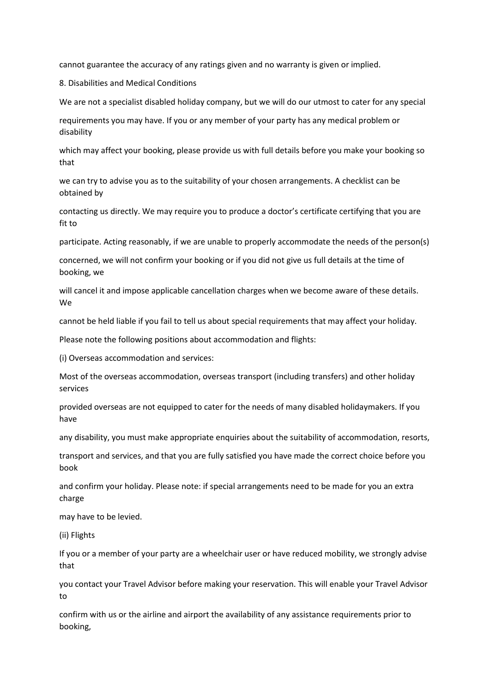cannot guarantee the accuracy of any ratings given and no warranty is given or implied.

8. Disabilities and Medical Conditions

We are not a specialist disabled holiday company, but we will do our utmost to cater for any special

requirements you may have. If you or any member of your party has any medical problem or disability

which may affect your booking, please provide us with full details before you make your booking so that

we can try to advise you as to the suitability of your chosen arrangements. A checklist can be obtained by

contacting us directly. We may require you to produce a doctor's certificate certifying that you are fit to

participate. Acting reasonably, if we are unable to properly accommodate the needs of the person(s)

concerned, we will not confirm your booking or if you did not give us full details at the time of booking, we

will cancel it and impose applicable cancellation charges when we become aware of these details. We

cannot be held liable if you fail to tell us about special requirements that may affect your holiday.

Please note the following positions about accommodation and flights:

(i) Overseas accommodation and services:

Most of the overseas accommodation, overseas transport (including transfers) and other holiday services

provided overseas are not equipped to cater for the needs of many disabled holidaymakers. If you have

any disability, you must make appropriate enquiries about the suitability of accommodation, resorts,

transport and services, and that you are fully satisfied you have made the correct choice before you book

and confirm your holiday. Please note: if special arrangements need to be made for you an extra charge

may have to be levied.

(ii) Flights

If you or a member of your party are a wheelchair user or have reduced mobility, we strongly advise that

you contact your Travel Advisor before making your reservation. This will enable your Travel Advisor to

confirm with us or the airline and airport the availability of any assistance requirements prior to booking,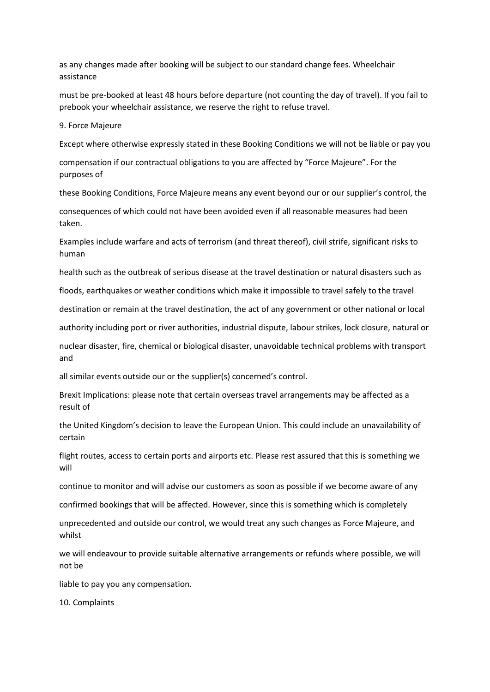as any changes made after booking will be subject to our standard change fees. Wheelchair assistance

must be pre-booked at least 48 hours before departure (not counting the day of travel). If you fail to prebook your wheelchair assistance, we reserve the right to refuse travel.

9. Force Majeure

Except where otherwise expressly stated in these Booking Conditions we will not be liable or pay you

compensation if our contractual obligations to you are affected by "Force Majeure". For the purposes of

these Booking Conditions, Force Majeure means any event beyond our or our supplier's control, the

consequences of which could not have been avoided even if all reasonable measures had been taken.

Examples include warfare and acts of terrorism (and threat thereof), civil strife, significant risks to human

health such as the outbreak of serious disease at the travel destination or natural disasters such as

floods, earthquakes or weather conditions which make it impossible to travel safely to the travel

destination or remain at the travel destination, the act of any government or other national or local

authority including port or river authorities, industrial dispute, labour strikes, lock closure, natural or

nuclear disaster, fire, chemical or biological disaster, unavoidable technical problems with transport and

all similar events outside our or the supplier(s) concerned's control.

Brexit Implications: please note that certain overseas travel arrangements may be affected as a result of

the United Kingdom's decision to leave the European Union. This could include an unavailability of certain

flight routes, access to certain ports and airports etc. Please rest assured that this is something we will

continue to monitor and will advise our customers as soon as possible if we become aware of any

confirmed bookings that will be affected. However, since this is something which is completely

unprecedented and outside our control, we would treat any such changes as Force Majeure, and whilst

we will endeavour to provide suitable alternative arrangements or refunds where possible, we will not be

liable to pay you any compensation.

10. Complaints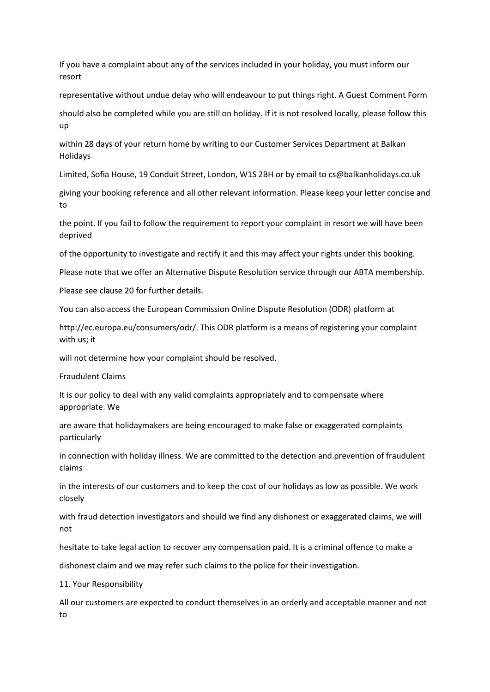If you have a complaint about any of the services included in your holiday, you must inform our resort

representative without undue delay who will endeavour to put things right. A Guest Comment Form

should also be completed while you are still on holiday. If it is not resolved locally, please follow this up

within 28 days of your return home by writing to our Customer Services Department at Balkan Holidays

Limited, Sofia House, 19 Conduit Street, London, W1S 2BH or by email to cs@balkanholidays.co.uk

giving your booking reference and all other relevant information. Please keep your letter concise and to

the point. If you fail to follow the requirement to report your complaint in resort we will have been deprived

of the opportunity to investigate and rectify it and this may affect your rights under this booking.

Please note that we offer an Alternative Dispute Resolution service through our ABTA membership.

Please see clause 20 for further details.

You can also access the European Commission Online Dispute Resolution (ODR) platform at

http://ec.europa.eu/consumers/odr/. This ODR platform is a means of registering your complaint with us; it

will not determine how your complaint should be resolved.

Fraudulent Claims

It is our policy to deal with any valid complaints appropriately and to compensate where appropriate. We

are aware that holidaymakers are being encouraged to make false or exaggerated complaints particularly

in connection with holiday illness. We are committed to the detection and prevention of fraudulent claims

in the interests of our customers and to keep the cost of our holidays as low as possible. We work closely

with fraud detection investigators and should we find any dishonest or exaggerated claims, we will not

hesitate to take legal action to recover any compensation paid. It is a criminal offence to make a

dishonest claim and we may refer such claims to the police for their investigation.

## 11. Your Responsibility

All our customers are expected to conduct themselves in an orderly and acceptable manner and not to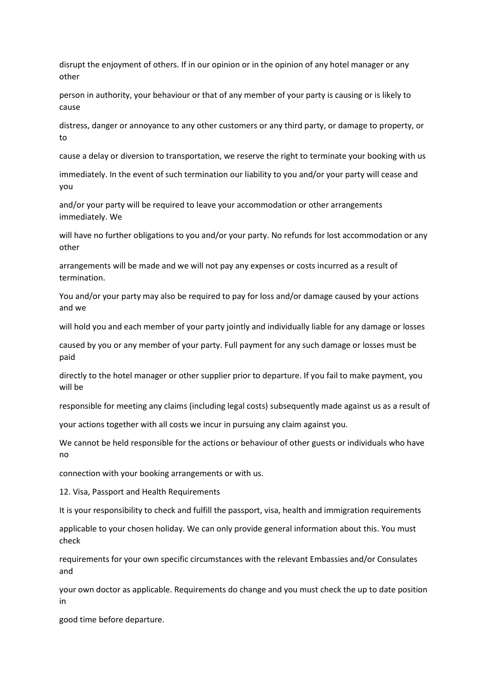disrupt the enjoyment of others. If in our opinion or in the opinion of any hotel manager or any other

person in authority, your behaviour or that of any member of your party is causing or is likely to cause

distress, danger or annoyance to any other customers or any third party, or damage to property, or to

cause a delay or diversion to transportation, we reserve the right to terminate your booking with us

immediately. In the event of such termination our liability to you and/or your party will cease and you

and/or your party will be required to leave your accommodation or other arrangements immediately. We

will have no further obligations to you and/or your party. No refunds for lost accommodation or any other

arrangements will be made and we will not pay any expenses or costs incurred as a result of termination.

You and/or your party may also be required to pay for loss and/or damage caused by your actions and we

will hold you and each member of your party jointly and individually liable for any damage or losses

caused by you or any member of your party. Full payment for any such damage or losses must be paid

directly to the hotel manager or other supplier prior to departure. If you fail to make payment, you will be

responsible for meeting any claims (including legal costs) subsequently made against us as a result of

your actions together with all costs we incur in pursuing any claim against you.

We cannot be held responsible for the actions or behaviour of other guests or individuals who have no

connection with your booking arrangements or with us.

12. Visa, Passport and Health Requirements

It is your responsibility to check and fulfill the passport, visa, health and immigration requirements

applicable to your chosen holiday. We can only provide general information about this. You must check

requirements for your own specific circumstances with the relevant Embassies and/or Consulates and

your own doctor as applicable. Requirements do change and you must check the up to date position in

good time before departure.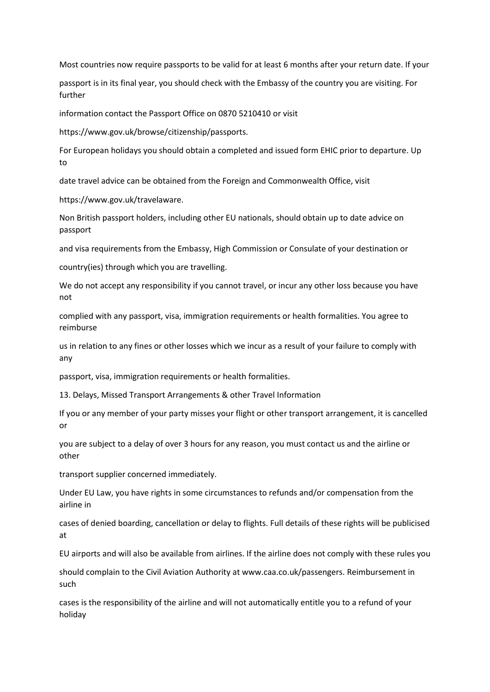Most countries now require passports to be valid for at least 6 months after your return date. If your

passport is in its final year, you should check with the Embassy of the country you are visiting. For further

information contact the Passport Office on 0870 5210410 or visit

https://www.gov.uk/browse/citizenship/passports.

For European holidays you should obtain a completed and issued form EHIC prior to departure. Up to

date travel advice can be obtained from the Foreign and Commonwealth Office, visit

https://www.gov.uk/travelaware.

Non British passport holders, including other EU nationals, should obtain up to date advice on passport

and visa requirements from the Embassy, High Commission or Consulate of your destination or

country(ies) through which you are travelling.

We do not accept any responsibility if you cannot travel, or incur any other loss because you have not

complied with any passport, visa, immigration requirements or health formalities. You agree to reimburse

us in relation to any fines or other losses which we incur as a result of your failure to comply with any

passport, visa, immigration requirements or health formalities.

13. Delays, Missed Transport Arrangements & other Travel Information

If you or any member of your party misses your flight or other transport arrangement, it is cancelled or

you are subject to a delay of over 3 hours for any reason, you must contact us and the airline or other

transport supplier concerned immediately.

Under EU Law, you have rights in some circumstances to refunds and/or compensation from the airline in

cases of denied boarding, cancellation or delay to flights. Full details of these rights will be publicised at

EU airports and will also be available from airlines. If the airline does not comply with these rules you

should complain to the Civil Aviation Authority at www.caa.co.uk/passengers. Reimbursement in such

cases is the responsibility of the airline and will not automatically entitle you to a refund of your holiday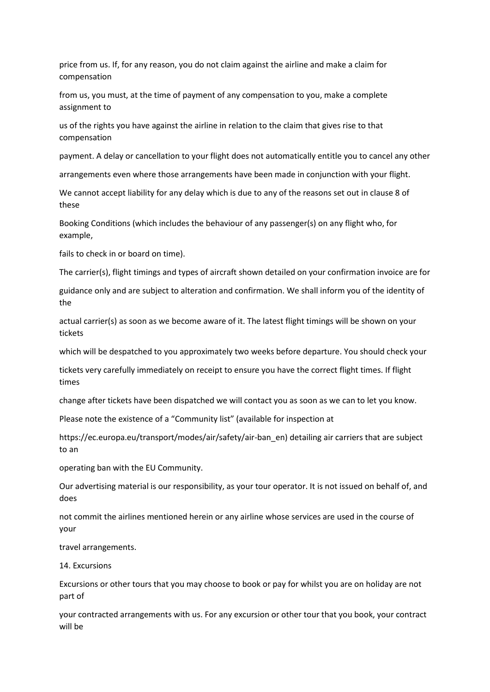price from us. If, for any reason, you do not claim against the airline and make a claim for compensation

from us, you must, at the time of payment of any compensation to you, make a complete assignment to

us of the rights you have against the airline in relation to the claim that gives rise to that compensation

payment. A delay or cancellation to your flight does not automatically entitle you to cancel any other

arrangements even where those arrangements have been made in conjunction with your flight.

We cannot accept liability for any delay which is due to any of the reasons set out in clause 8 of these

Booking Conditions (which includes the behaviour of any passenger(s) on any flight who, for example,

fails to check in or board on time).

The carrier(s), flight timings and types of aircraft shown detailed on your confirmation invoice are for

guidance only and are subject to alteration and confirmation. We shall inform you of the identity of the

actual carrier(s) as soon as we become aware of it. The latest flight timings will be shown on your tickets

which will be despatched to you approximately two weeks before departure. You should check your

tickets very carefully immediately on receipt to ensure you have the correct flight times. If flight times

change after tickets have been dispatched we will contact you as soon as we can to let you know.

Please note the existence of a "Community list" (available for inspection at

https://ec.europa.eu/transport/modes/air/safety/air-ban\_en) detailing air carriers that are subject to an

operating ban with the EU Community.

Our advertising material is our responsibility, as your tour operator. It is not issued on behalf of, and does

not commit the airlines mentioned herein or any airline whose services are used in the course of your

travel arrangements.

14. Excursions

Excursions or other tours that you may choose to book or pay for whilst you are on holiday are not part of

your contracted arrangements with us. For any excursion or other tour that you book, your contract will be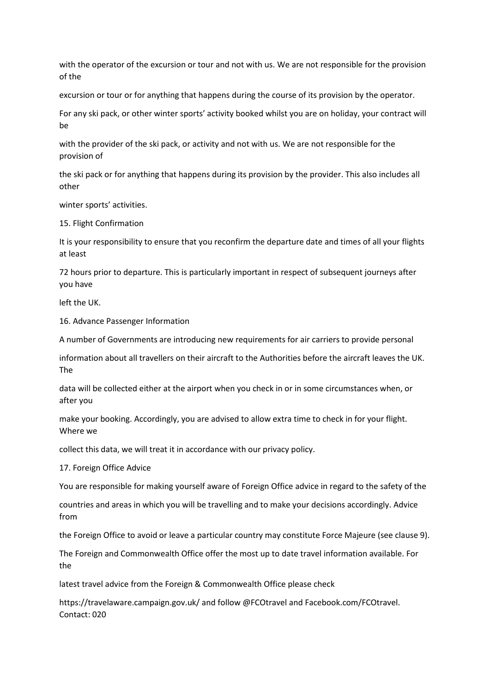with the operator of the excursion or tour and not with us. We are not responsible for the provision of the

excursion or tour or for anything that happens during the course of its provision by the operator.

For any ski pack, or other winter sports' activity booked whilst you are on holiday, your contract will be

with the provider of the ski pack, or activity and not with us. We are not responsible for the provision of

the ski pack or for anything that happens during its provision by the provider. This also includes all other

winter sports' activities.

15. Flight Confirmation

It is your responsibility to ensure that you reconfirm the departure date and times of all your flights at least

72 hours prior to departure. This is particularly important in respect of subsequent journeys after you have

left the UK.

16. Advance Passenger Information

A number of Governments are introducing new requirements for air carriers to provide personal

information about all travellers on their aircraft to the Authorities before the aircraft leaves the UK. The

data will be collected either at the airport when you check in or in some circumstances when, or after you

make your booking. Accordingly, you are advised to allow extra time to check in for your flight. Where we

collect this data, we will treat it in accordance with our privacy policy.

17. Foreign Office Advice

You are responsible for making yourself aware of Foreign Office advice in regard to the safety of the

countries and areas in which you will be travelling and to make your decisions accordingly. Advice from

the Foreign Office to avoid or leave a particular country may constitute Force Majeure (see clause 9).

The Foreign and Commonwealth Office offer the most up to date travel information available. For the

latest travel advice from the Foreign & Commonwealth Office please check

https://travelaware.campaign.gov.uk/ and follow @FCOtravel and Facebook.com/FCOtravel. Contact: 020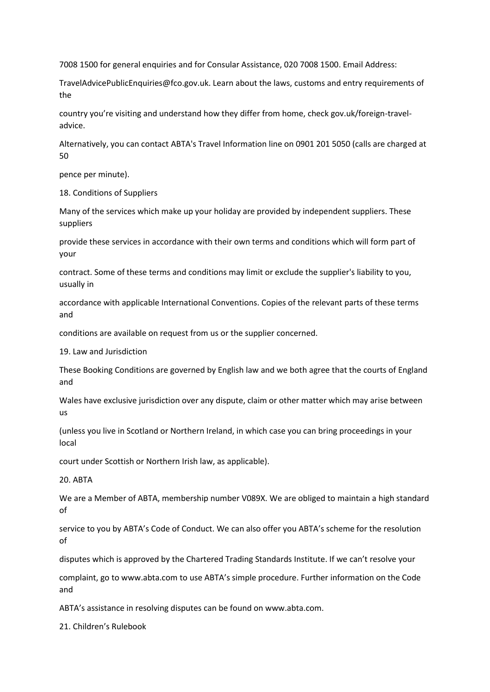7008 1500 for general enquiries and for Consular Assistance, 020 7008 1500. Email Address:

TravelAdvicePublicEnquiries@fco.gov.uk. Learn about the laws, customs and entry requirements of the

country you're visiting and understand how they differ from home, check gov.uk/foreign-traveladvice.

Alternatively, you can contact ABTA's Travel Information line on 0901 201 5050 (calls are charged at 50

pence per minute).

18. Conditions of Suppliers

Many of the services which make up your holiday are provided by independent suppliers. These suppliers

provide these services in accordance with their own terms and conditions which will form part of your

contract. Some of these terms and conditions may limit or exclude the supplier's liability to you, usually in

accordance with applicable International Conventions. Copies of the relevant parts of these terms and

conditions are available on request from us or the supplier concerned.

19. Law and Jurisdiction

These Booking Conditions are governed by English law and we both agree that the courts of England and

Wales have exclusive jurisdiction over any dispute, claim or other matter which may arise between us

(unless you live in Scotland or Northern Ireland, in which case you can bring proceedings in your local

court under Scottish or Northern Irish law, as applicable).

20. ABTA

We are a Member of ABTA, membership number V089X. We are obliged to maintain a high standard of

service to you by ABTA's Code of Conduct. We can also offer you ABTA's scheme for the resolution of

disputes which is approved by the Chartered Trading Standards Institute. If we can't resolve your

complaint, go to www.abta.com to use ABTA's simple procedure. Further information on the Code and

ABTA's assistance in resolving disputes can be found on www.abta.com.

21. Children's Rulebook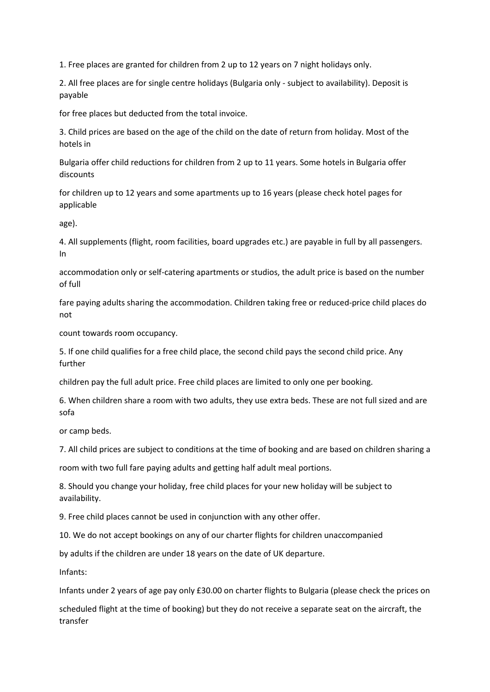1. Free places are granted for children from 2 up to 12 years on 7 night holidays only.

2. All free places are for single centre holidays (Bulgaria only - subject to availability). Deposit is payable

for free places but deducted from the total invoice.

3. Child prices are based on the age of the child on the date of return from holiday. Most of the hotels in

Bulgaria offer child reductions for children from 2 up to 11 years. Some hotels in Bulgaria offer discounts

for children up to 12 years and some apartments up to 16 years (please check hotel pages for applicable

age).

4. All supplements (flight, room facilities, board upgrades etc.) are payable in full by all passengers. In

accommodation only or self-catering apartments or studios, the adult price is based on the number of full

fare paying adults sharing the accommodation. Children taking free or reduced-price child places do not

count towards room occupancy.

5. If one child qualifies for a free child place, the second child pays the second child price. Any further

children pay the full adult price. Free child places are limited to only one per booking.

6. When children share a room with two adults, they use extra beds. These are not full sized and are sofa

or camp beds.

7. All child prices are subject to conditions at the time of booking and are based on children sharing a

room with two full fare paying adults and getting half adult meal portions.

8. Should you change your holiday, free child places for your new holiday will be subject to availability.

9. Free child places cannot be used in conjunction with any other offer.

10. We do not accept bookings on any of our charter flights for children unaccompanied

by adults if the children are under 18 years on the date of UK departure.

Infants:

Infants under 2 years of age pay only £30.00 on charter flights to Bulgaria (please check the prices on

scheduled flight at the time of booking) but they do not receive a separate seat on the aircraft, the transfer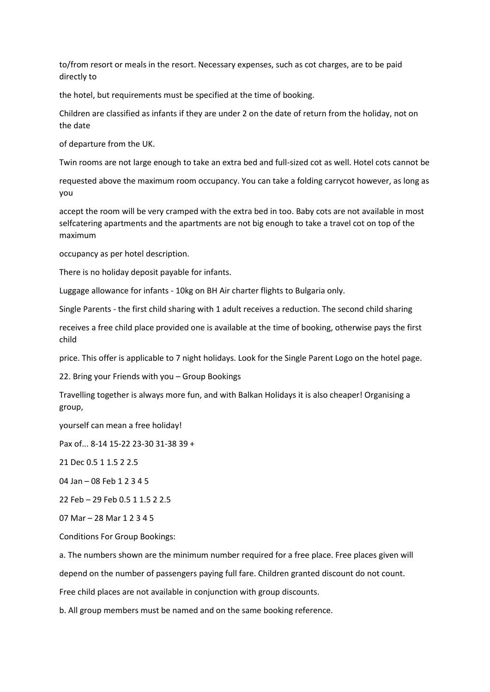to/from resort or meals in the resort. Necessary expenses, such as cot charges, are to be paid directly to

the hotel, but requirements must be specified at the time of booking.

Children are classified as infants if they are under 2 on the date of return from the holiday, not on the date

of departure from the UK.

Twin rooms are not large enough to take an extra bed and full-sized cot as well. Hotel cots cannot be

requested above the maximum room occupancy. You can take a folding carrycot however, as long as you

accept the room will be very cramped with the extra bed in too. Baby cots are not available in most selfcatering apartments and the apartments are not big enough to take a travel cot on top of the maximum

occupancy as per hotel description.

There is no holiday deposit payable for infants.

Luggage allowance for infants - 10kg on BH Air charter flights to Bulgaria only.

Single Parents - the first child sharing with 1 adult receives a reduction. The second child sharing

receives a free child place provided one is available at the time of booking, otherwise pays the first child

price. This offer is applicable to 7 night holidays. Look for the Single Parent Logo on the hotel page.

22. Bring your Friends with you – Group Bookings

Travelling together is always more fun, and with Balkan Holidays it is also cheaper! Organising a group,

yourself can mean a free holiday!

Pax of... 8-14 15-22 23-30 31-38 39 +

21 Dec 0.5 1 1.5 2 2.5

04 Jan – 08 Feb 1 2 3 4 5

22 Feb – 29 Feb 0.5 1 1.5 2 2.5

07 Mar – 28 Mar 1 2 3 4 5

Conditions For Group Bookings:

a. The numbers shown are the minimum number required for a free place. Free places given will depend on the number of passengers paying full fare. Children granted discount do not count. Free child places are not available in conjunction with group discounts.

b. All group members must be named and on the same booking reference.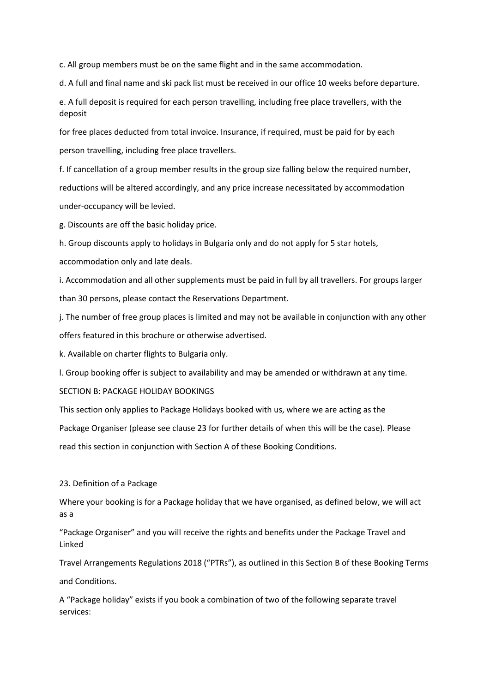c. All group members must be on the same flight and in the same accommodation.

d. A full and final name and ski pack list must be received in our office 10 weeks before departure.

e. A full deposit is required for each person travelling, including free place travellers, with the deposit

for free places deducted from total invoice. Insurance, if required, must be paid for by each person travelling, including free place travellers.

f. If cancellation of a group member results in the group size falling below the required number, reductions will be altered accordingly, and any price increase necessitated by accommodation under-occupancy will be levied.

g. Discounts are off the basic holiday price.

h. Group discounts apply to holidays in Bulgaria only and do not apply for 5 star hotels,

accommodation only and late deals.

i. Accommodation and all other supplements must be paid in full by all travellers. For groups larger than 30 persons, please contact the Reservations Department.

j. The number of free group places is limited and may not be available in conjunction with any other offers featured in this brochure or otherwise advertised.

k. Available on charter flights to Bulgaria only.

l. Group booking offer is subject to availability and may be amended or withdrawn at any time.

SECTION B: PACKAGE HOLIDAY BOOKINGS

This section only applies to Package Holidays booked with us, where we are acting as the

Package Organiser (please see clause 23 for further details of when this will be the case). Please read this section in conjunction with Section A of these Booking Conditions.

23. Definition of a Package

Where your booking is for a Package holiday that we have organised, as defined below, we will act as a

"Package Organiser" and you will receive the rights and benefits under the Package Travel and Linked

Travel Arrangements Regulations 2018 ("PTRs"), as outlined in this Section B of these Booking Terms and Conditions.

A "Package holiday" exists if you book a combination of two of the following separate travel services: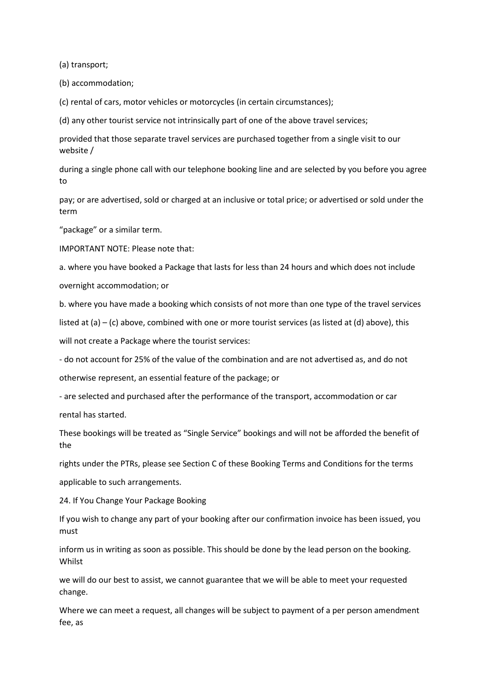(a) transport;

(b) accommodation;

(c) rental of cars, motor vehicles or motorcycles (in certain circumstances);

(d) any other tourist service not intrinsically part of one of the above travel services;

provided that those separate travel services are purchased together from a single visit to our website /

during a single phone call with our telephone booking line and are selected by you before you agree to

pay; or are advertised, sold or charged at an inclusive or total price; or advertised or sold under the term

"package" or a similar term.

IMPORTANT NOTE: Please note that:

a. where you have booked a Package that lasts for less than 24 hours and which does not include overnight accommodation; or

b. where you have made a booking which consists of not more than one type of the travel services

listed at  $(a) - (c)$  above, combined with one or more tourist services (as listed at  $(d)$  above), this will not create a Package where the tourist services:

- do not account for 25% of the value of the combination and are not advertised as, and do not

otherwise represent, an essential feature of the package; or

- are selected and purchased after the performance of the transport, accommodation or car rental has started.

These bookings will be treated as "Single Service" bookings and will not be afforded the benefit of the

rights under the PTRs, please see Section C of these Booking Terms and Conditions for the terms

applicable to such arrangements.

24. If You Change Your Package Booking

If you wish to change any part of your booking after our confirmation invoice has been issued, you must

inform us in writing as soon as possible. This should be done by the lead person on the booking. Whilst

we will do our best to assist, we cannot guarantee that we will be able to meet your requested change.

Where we can meet a request, all changes will be subject to payment of a per person amendment fee, as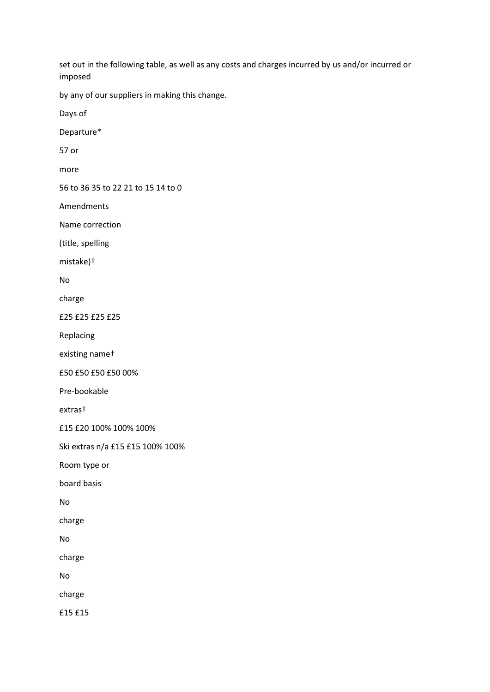set out in the following table, as well as any costs and charges incurred by us and/or incurred or imposed

by any of our suppliers in making this change.

Days of

Departure\*

57 or

more

56 to 36 35 to 22 21 to 15 14 to 0

Amendments

Name correction

(title, spelling

mistake)†

No

charge

£25 £25 £25 £25

Replacing

existing name†

£50 £50 £50 £50 00%

Pre-bookable

extras†

£15 £20 100% 100% 100%

Ski extras n/a £15 £15 100% 100%

Room type or

board basis

No

charge

No

charge

No

charge

£15 £15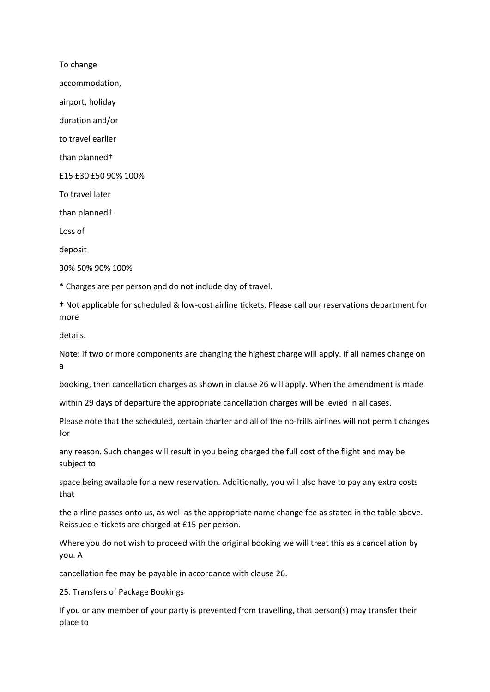To change accommodation, airport, holiday duration and/or to travel earlier than planned† £15 £30 £50 90% 100% To travel later than planned† Loss of deposit 30% 50% 90% 100%

\* Charges are per person and do not include day of travel.

† Not applicable for scheduled & low-cost airline tickets. Please call our reservations department for more

details.

Note: If two or more components are changing the highest charge will apply. If all names change on a

booking, then cancellation charges as shown in clause 26 will apply. When the amendment is made

within 29 days of departure the appropriate cancellation charges will be levied in all cases.

Please note that the scheduled, certain charter and all of the no-frills airlines will not permit changes for

any reason. Such changes will result in you being charged the full cost of the flight and may be subject to

space being available for a new reservation. Additionally, you will also have to pay any extra costs that

the airline passes onto us, as well as the appropriate name change fee as stated in the table above. Reissued e-tickets are charged at £15 per person.

Where you do not wish to proceed with the original booking we will treat this as a cancellation by you. A

cancellation fee may be payable in accordance with clause 26.

25. Transfers of Package Bookings

If you or any member of your party is prevented from travelling, that person(s) may transfer their place to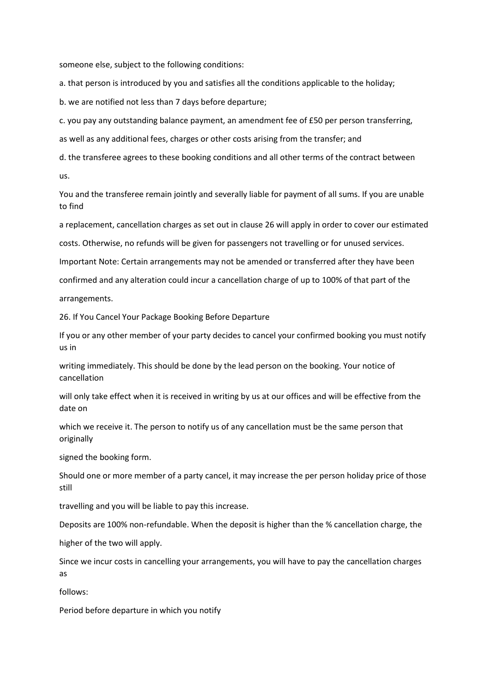someone else, subject to the following conditions:

a. that person is introduced by you and satisfies all the conditions applicable to the holiday;

b. we are notified not less than 7 days before departure;

c. you pay any outstanding balance payment, an amendment fee of £50 per person transferring,

as well as any additional fees, charges or other costs arising from the transfer; and

d. the transferee agrees to these booking conditions and all other terms of the contract between us.

You and the transferee remain jointly and severally liable for payment of all sums. If you are unable to find

a replacement, cancellation charges as set out in clause 26 will apply in order to cover our estimated

costs. Otherwise, no refunds will be given for passengers not travelling or for unused services.

Important Note: Certain arrangements may not be amended or transferred after they have been

confirmed and any alteration could incur a cancellation charge of up to 100% of that part of the arrangements.

26. If You Cancel Your Package Booking Before Departure

If you or any other member of your party decides to cancel your confirmed booking you must notify us in

writing immediately. This should be done by the lead person on the booking. Your notice of cancellation

will only take effect when it is received in writing by us at our offices and will be effective from the date on

which we receive it. The person to notify us of any cancellation must be the same person that originally

signed the booking form.

Should one or more member of a party cancel, it may increase the per person holiday price of those still

travelling and you will be liable to pay this increase.

Deposits are 100% non-refundable. When the deposit is higher than the % cancellation charge, the

higher of the two will apply.

Since we incur costs in cancelling your arrangements, you will have to pay the cancellation charges as

follows:

Period before departure in which you notify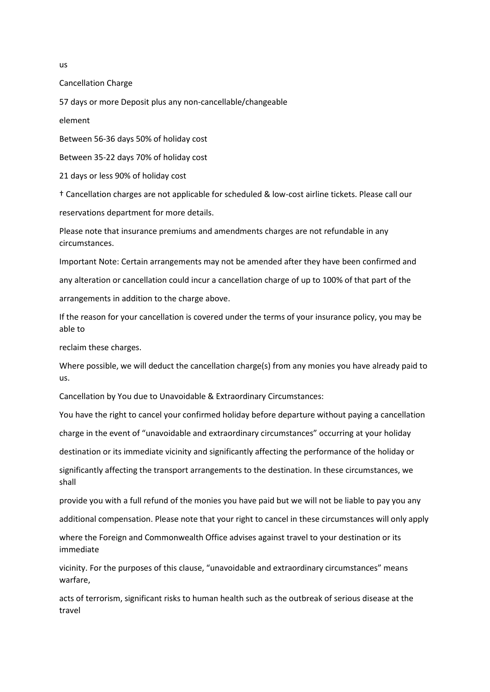us

Cancellation Charge

57 days or more Deposit plus any non-cancellable/changeable

element

Between 56-36 days 50% of holiday cost

Between 35-22 days 70% of holiday cost

21 days or less 90% of holiday cost

† Cancellation charges are not applicable for scheduled & low-cost airline tickets. Please call our reservations department for more details.

Please note that insurance premiums and amendments charges are not refundable in any circumstances.

Important Note: Certain arrangements may not be amended after they have been confirmed and any alteration or cancellation could incur a cancellation charge of up to 100% of that part of the arrangements in addition to the charge above.

If the reason for your cancellation is covered under the terms of your insurance policy, you may be able to

reclaim these charges.

Where possible, we will deduct the cancellation charge(s) from any monies you have already paid to us.

Cancellation by You due to Unavoidable & Extraordinary Circumstances:

You have the right to cancel your confirmed holiday before departure without paying a cancellation

charge in the event of "unavoidable and extraordinary circumstances" occurring at your holiday

destination or its immediate vicinity and significantly affecting the performance of the holiday or

significantly affecting the transport arrangements to the destination. In these circumstances, we shall

provide you with a full refund of the monies you have paid but we will not be liable to pay you any

additional compensation. Please note that your right to cancel in these circumstances will only apply

where the Foreign and Commonwealth Office advises against travel to your destination or its immediate

vicinity. For the purposes of this clause, "unavoidable and extraordinary circumstances" means warfare,

acts of terrorism, significant risks to human health such as the outbreak of serious disease at the travel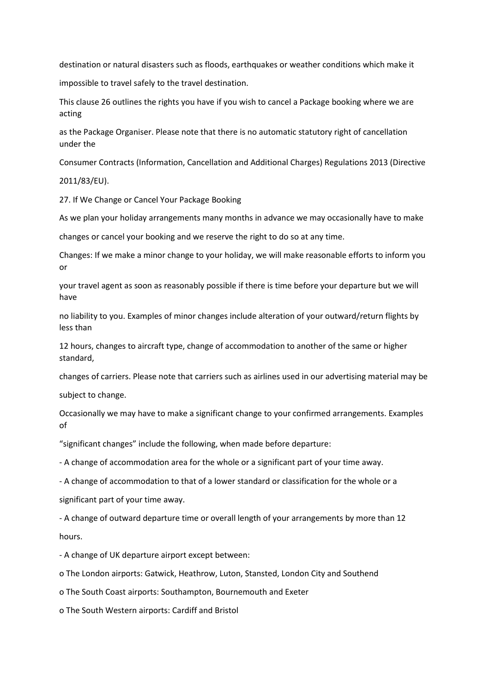destination or natural disasters such as floods, earthquakes or weather conditions which make it

impossible to travel safely to the travel destination.

This clause 26 outlines the rights you have if you wish to cancel a Package booking where we are acting

as the Package Organiser. Please note that there is no automatic statutory right of cancellation under the

Consumer Contracts (Information, Cancellation and Additional Charges) Regulations 2013 (Directive

2011/83/EU).

27. If We Change or Cancel Your Package Booking

As we plan your holiday arrangements many months in advance we may occasionally have to make

changes or cancel your booking and we reserve the right to do so at any time.

Changes: If we make a minor change to your holiday, we will make reasonable efforts to inform you or

your travel agent as soon as reasonably possible if there is time before your departure but we will have

no liability to you. Examples of minor changes include alteration of your outward/return flights by less than

12 hours, changes to aircraft type, change of accommodation to another of the same or higher standard,

changes of carriers. Please note that carriers such as airlines used in our advertising material may be

subject to change.

Occasionally we may have to make a significant change to your confirmed arrangements. Examples of

"significant changes" include the following, when made before departure:

- A change of accommodation area for the whole or a significant part of your time away.

- A change of accommodation to that of a lower standard or classification for the whole or a

significant part of your time away.

- A change of outward departure time or overall length of your arrangements by more than 12

hours.

- A change of UK departure airport except between:

o The London airports: Gatwick, Heathrow, Luton, Stansted, London City and Southend

o The South Coast airports: Southampton, Bournemouth and Exeter

o The South Western airports: Cardiff and Bristol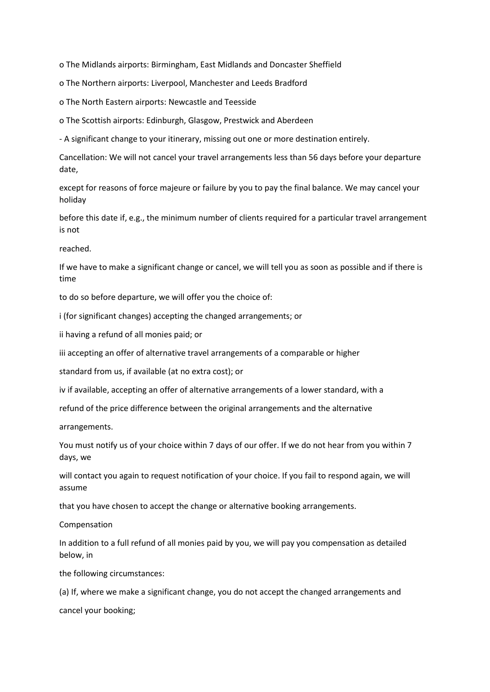o The Midlands airports: Birmingham, East Midlands and Doncaster Sheffield

o The Northern airports: Liverpool, Manchester and Leeds Bradford

o The North Eastern airports: Newcastle and Teesside

o The Scottish airports: Edinburgh, Glasgow, Prestwick and Aberdeen

- A significant change to your itinerary, missing out one or more destination entirely.

Cancellation: We will not cancel your travel arrangements less than 56 days before your departure date,

except for reasons of force majeure or failure by you to pay the final balance. We may cancel your holiday

before this date if, e.g., the minimum number of clients required for a particular travel arrangement is not

## reached.

If we have to make a significant change or cancel, we will tell you as soon as possible and if there is time

to do so before departure, we will offer you the choice of:

i (for significant changes) accepting the changed arrangements; or

ii having a refund of all monies paid; or

iii accepting an offer of alternative travel arrangements of a comparable or higher

standard from us, if available (at no extra cost); or

iv if available, accepting an offer of alternative arrangements of a lower standard, with a

refund of the price difference between the original arrangements and the alternative

arrangements.

You must notify us of your choice within 7 days of our offer. If we do not hear from you within 7 days, we

will contact you again to request notification of your choice. If you fail to respond again, we will assume

that you have chosen to accept the change or alternative booking arrangements.

Compensation

In addition to a full refund of all monies paid by you, we will pay you compensation as detailed below, in

the following circumstances:

(a) If, where we make a significant change, you do not accept the changed arrangements and cancel your booking;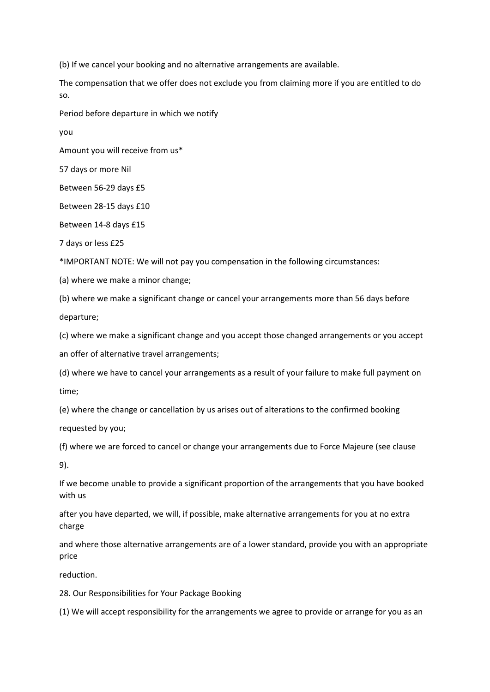(b) If we cancel your booking and no alternative arrangements are available.

The compensation that we offer does not exclude you from claiming more if you are entitled to do so.

Period before departure in which we notify

you

Amount you will receive from us\*

57 days or more Nil

Between 56-29 days £5

Between 28-15 days £10

Between 14-8 days £15

7 days or less £25

\*IMPORTANT NOTE: We will not pay you compensation in the following circumstances:

(a) where we make a minor change;

(b) where we make a significant change or cancel your arrangements more than 56 days before departure;

(c) where we make a significant change and you accept those changed arrangements or you accept an offer of alternative travel arrangements;

(d) where we have to cancel your arrangements as a result of your failure to make full payment on time;

(e) where the change or cancellation by us arises out of alterations to the confirmed booking

requested by you;

(f) where we are forced to cancel or change your arrangements due to Force Majeure (see clause

9).

If we become unable to provide a significant proportion of the arrangements that you have booked with us

after you have departed, we will, if possible, make alternative arrangements for you at no extra charge

and where those alternative arrangements are of a lower standard, provide you with an appropriate price

reduction.

28. Our Responsibilities for Your Package Booking

(1) We will accept responsibility for the arrangements we agree to provide or arrange for you as an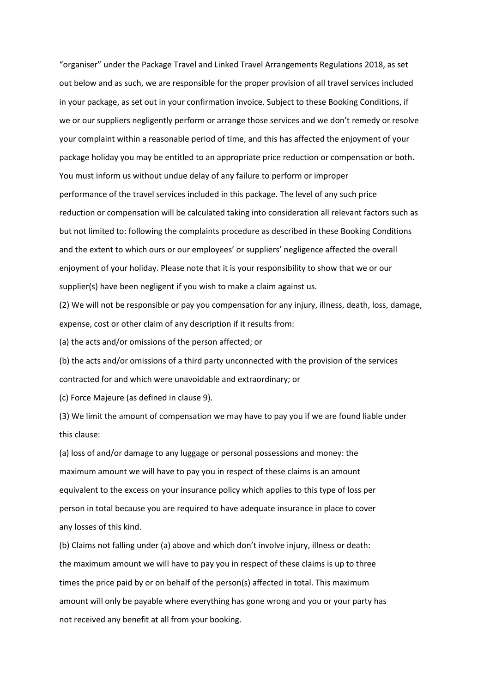"organiser" under the Package Travel and Linked Travel Arrangements Regulations 2018, as set out below and as such, we are responsible for the proper provision of all travel services included in your package, as set out in your confirmation invoice. Subject to these Booking Conditions, if we or our suppliers negligently perform or arrange those services and we don't remedy or resolve your complaint within a reasonable period of time, and this has affected the enjoyment of your package holiday you may be entitled to an appropriate price reduction or compensation or both. You must inform us without undue delay of any failure to perform or improper performance of the travel services included in this package. The level of any such price reduction or compensation will be calculated taking into consideration all relevant factors such as but not limited to: following the complaints procedure as described in these Booking Conditions and the extent to which ours or our employees' or suppliers' negligence affected the overall enjoyment of your holiday. Please note that it is your responsibility to show that we or our supplier(s) have been negligent if you wish to make a claim against us.

(2) We will not be responsible or pay you compensation for any injury, illness, death, loss, damage, expense, cost or other claim of any description if it results from:

(a) the acts and/or omissions of the person affected; or

(b) the acts and/or omissions of a third party unconnected with the provision of the services contracted for and which were unavoidable and extraordinary; or

(c) Force Majeure (as defined in clause 9).

(3) We limit the amount of compensation we may have to pay you if we are found liable under this clause:

(a) loss of and/or damage to any luggage or personal possessions and money: the maximum amount we will have to pay you in respect of these claims is an amount equivalent to the excess on your insurance policy which applies to this type of loss per person in total because you are required to have adequate insurance in place to cover any losses of this kind.

(b) Claims not falling under (a) above and which don't involve injury, illness or death: the maximum amount we will have to pay you in respect of these claims is up to three times the price paid by or on behalf of the person(s) affected in total. This maximum amount will only be payable where everything has gone wrong and you or your party has not received any benefit at all from your booking.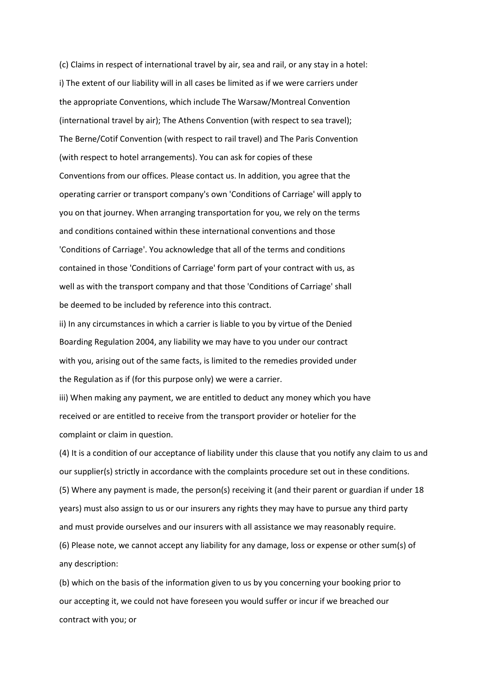(c) Claims in respect of international travel by air, sea and rail, or any stay in a hotel: i) The extent of our liability will in all cases be limited as if we were carriers under the appropriate Conventions, which include The Warsaw/Montreal Convention (international travel by air); The Athens Convention (with respect to sea travel); The Berne/Cotif Convention (with respect to rail travel) and The Paris Convention (with respect to hotel arrangements). You can ask for copies of these Conventions from our offices. Please contact us. In addition, you agree that the operating carrier or transport company's own 'Conditions of Carriage' will apply to you on that journey. When arranging transportation for you, we rely on the terms and conditions contained within these international conventions and those 'Conditions of Carriage'. You acknowledge that all of the terms and conditions contained in those 'Conditions of Carriage' form part of your contract with us, as well as with the transport company and that those 'Conditions of Carriage' shall be deemed to be included by reference into this contract.

ii) In any circumstances in which a carrier is liable to you by virtue of the Denied Boarding Regulation 2004, any liability we may have to you under our contract with you, arising out of the same facts, is limited to the remedies provided under the Regulation as if (for this purpose only) we were a carrier.

iii) When making any payment, we are entitled to deduct any money which you have received or are entitled to receive from the transport provider or hotelier for the complaint or claim in question.

(4) It is a condition of our acceptance of liability under this clause that you notify any claim to us and our supplier(s) strictly in accordance with the complaints procedure set out in these conditions. (5) Where any payment is made, the person(s) receiving it (and their parent or guardian if under 18 years) must also assign to us or our insurers any rights they may have to pursue any third party and must provide ourselves and our insurers with all assistance we may reasonably require. (6) Please note, we cannot accept any liability for any damage, loss or expense or other sum(s) of any description:

(b) which on the basis of the information given to us by you concerning your booking prior to our accepting it, we could not have foreseen you would suffer or incur if we breached our contract with you; or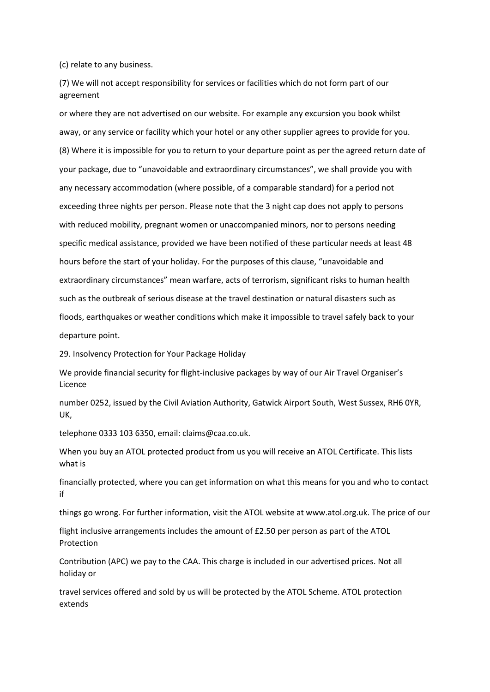(c) relate to any business.

(7) We will not accept responsibility for services or facilities which do not form part of our agreement

or where they are not advertised on our website. For example any excursion you book whilst away, or any service or facility which your hotel or any other supplier agrees to provide for you. (8) Where it is impossible for you to return to your departure point as per the agreed return date of your package, due to "unavoidable and extraordinary circumstances", we shall provide you with any necessary accommodation (where possible, of a comparable standard) for a period not exceeding three nights per person. Please note that the 3 night cap does not apply to persons with reduced mobility, pregnant women or unaccompanied minors, nor to persons needing specific medical assistance, provided we have been notified of these particular needs at least 48 hours before the start of your holiday. For the purposes of this clause, "unavoidable and extraordinary circumstances" mean warfare, acts of terrorism, significant risks to human health such as the outbreak of serious disease at the travel destination or natural disasters such as floods, earthquakes or weather conditions which make it impossible to travel safely back to your departure point.

29. Insolvency Protection for Your Package Holiday

We provide financial security for flight-inclusive packages by way of our Air Travel Organiser's Licence

number 0252, issued by the Civil Aviation Authority, Gatwick Airport South, West Sussex, RH6 0YR, UK,

telephone 0333 103 6350, email: claims@caa.co.uk.

When you buy an ATOL protected product from us you will receive an ATOL Certificate. This lists what is

financially protected, where you can get information on what this means for you and who to contact if

things go wrong. For further information, visit the ATOL website at www.atol.org.uk. The price of our

flight inclusive arrangements includes the amount of £2.50 per person as part of the ATOL Protection

Contribution (APC) we pay to the CAA. This charge is included in our advertised prices. Not all holiday or

travel services offered and sold by us will be protected by the ATOL Scheme. ATOL protection extends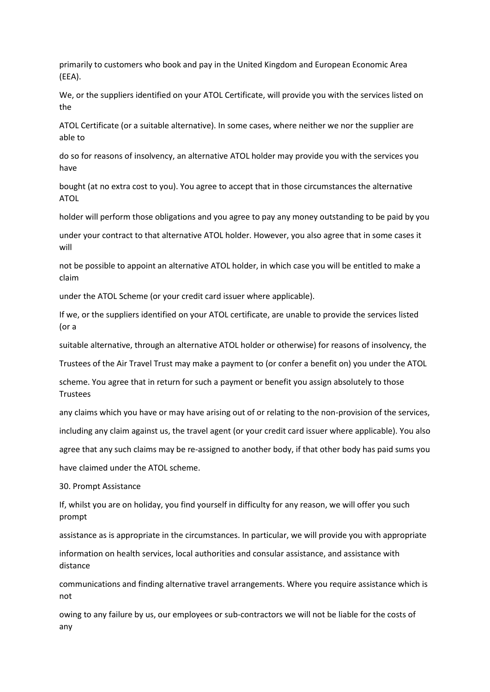primarily to customers who book and pay in the United Kingdom and European Economic Area (EEA).

We, or the suppliers identified on your ATOL Certificate, will provide you with the services listed on the

ATOL Certificate (or a suitable alternative). In some cases, where neither we nor the supplier are able to

do so for reasons of insolvency, an alternative ATOL holder may provide you with the services you have

bought (at no extra cost to you). You agree to accept that in those circumstances the alternative ATOL

holder will perform those obligations and you agree to pay any money outstanding to be paid by you

under your contract to that alternative ATOL holder. However, you also agree that in some cases it will

not be possible to appoint an alternative ATOL holder, in which case you will be entitled to make a claim

under the ATOL Scheme (or your credit card issuer where applicable).

If we, or the suppliers identified on your ATOL certificate, are unable to provide the services listed (or a

suitable alternative, through an alternative ATOL holder or otherwise) for reasons of insolvency, the

Trustees of the Air Travel Trust may make a payment to (or confer a benefit on) you under the ATOL

scheme. You agree that in return for such a payment or benefit you assign absolutely to those **Trustees** 

any claims which you have or may have arising out of or relating to the non-provision of the services,

including any claim against us, the travel agent (or your credit card issuer where applicable). You also

agree that any such claims may be re-assigned to another body, if that other body has paid sums you

have claimed under the ATOL scheme.

30. Prompt Assistance

If, whilst you are on holiday, you find yourself in difficulty for any reason, we will offer you such prompt

assistance as is appropriate in the circumstances. In particular, we will provide you with appropriate

information on health services, local authorities and consular assistance, and assistance with distance

communications and finding alternative travel arrangements. Where you require assistance which is not

owing to any failure by us, our employees or sub-contractors we will not be liable for the costs of any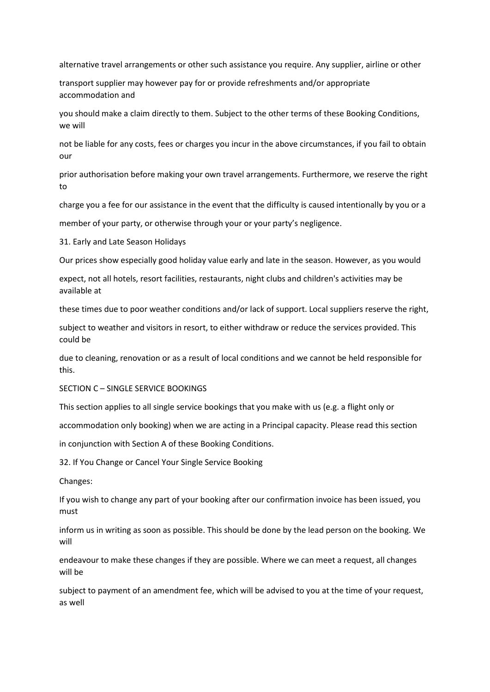alternative travel arrangements or other such assistance you require. Any supplier, airline or other

transport supplier may however pay for or provide refreshments and/or appropriate accommodation and

you should make a claim directly to them. Subject to the other terms of these Booking Conditions, we will

not be liable for any costs, fees or charges you incur in the above circumstances, if you fail to obtain our

prior authorisation before making your own travel arrangements. Furthermore, we reserve the right to

charge you a fee for our assistance in the event that the difficulty is caused intentionally by you or a

member of your party, or otherwise through your or your party's negligence.

31. Early and Late Season Holidays

Our prices show especially good holiday value early and late in the season. However, as you would

expect, not all hotels, resort facilities, restaurants, night clubs and children's activities may be available at

these times due to poor weather conditions and/or lack of support. Local suppliers reserve the right,

subject to weather and visitors in resort, to either withdraw or reduce the services provided. This could be

due to cleaning, renovation or as a result of local conditions and we cannot be held responsible for this.

SECTION C – SINGLE SERVICE BOOKINGS

This section applies to all single service bookings that you make with us (e.g. a flight only or

accommodation only booking) when we are acting in a Principal capacity. Please read this section

in conjunction with Section A of these Booking Conditions.

32. If You Change or Cancel Your Single Service Booking

Changes:

If you wish to change any part of your booking after our confirmation invoice has been issued, you must

inform us in writing as soon as possible. This should be done by the lead person on the booking. We will

endeavour to make these changes if they are possible. Where we can meet a request, all changes will be

subject to payment of an amendment fee, which will be advised to you at the time of your request, as well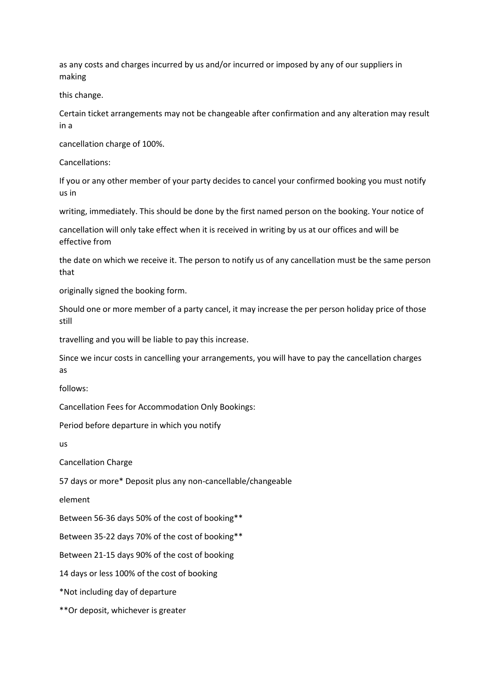as any costs and charges incurred by us and/or incurred or imposed by any of our suppliers in making

this change.

Certain ticket arrangements may not be changeable after confirmation and any alteration may result in a

cancellation charge of 100%.

Cancellations:

If you or any other member of your party decides to cancel your confirmed booking you must notify us in

writing, immediately. This should be done by the first named person on the booking. Your notice of

cancellation will only take effect when it is received in writing by us at our offices and will be effective from

the date on which we receive it. The person to notify us of any cancellation must be the same person that

originally signed the booking form.

Should one or more member of a party cancel, it may increase the per person holiday price of those still

travelling and you will be liable to pay this increase.

Since we incur costs in cancelling your arrangements, you will have to pay the cancellation charges as

follows:

Cancellation Fees for Accommodation Only Bookings:

Period before departure in which you notify

us

Cancellation Charge

57 days or more\* Deposit plus any non-cancellable/changeable

element

Between 56-36 days 50% of the cost of booking\*\*

Between 35-22 days 70% of the cost of booking\*\*

Between 21-15 days 90% of the cost of booking

14 days or less 100% of the cost of booking

\*Not including day of departure

\*\*Or deposit, whichever is greater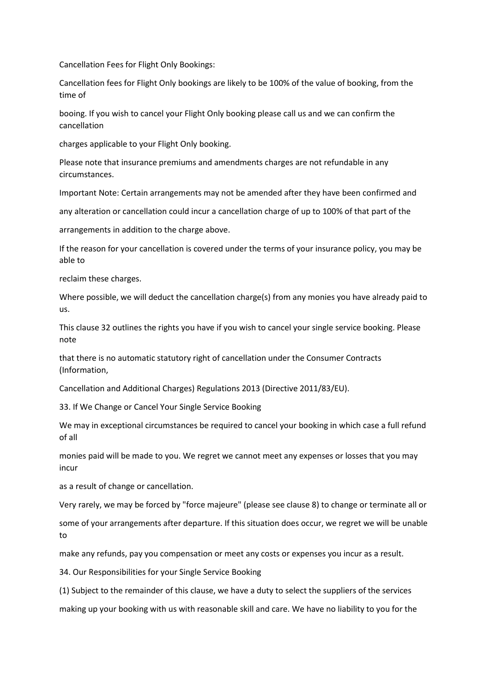Cancellation Fees for Flight Only Bookings:

Cancellation fees for Flight Only bookings are likely to be 100% of the value of booking, from the time of

booing. If you wish to cancel your Flight Only booking please call us and we can confirm the cancellation

charges applicable to your Flight Only booking.

Please note that insurance premiums and amendments charges are not refundable in any circumstances.

Important Note: Certain arrangements may not be amended after they have been confirmed and

any alteration or cancellation could incur a cancellation charge of up to 100% of that part of the

arrangements in addition to the charge above.

If the reason for your cancellation is covered under the terms of your insurance policy, you may be able to

reclaim these charges.

Where possible, we will deduct the cancellation charge(s) from any monies you have already paid to us.

This clause 32 outlines the rights you have if you wish to cancel your single service booking. Please note

that there is no automatic statutory right of cancellation under the Consumer Contracts (Information,

Cancellation and Additional Charges) Regulations 2013 (Directive 2011/83/EU).

33. If We Change or Cancel Your Single Service Booking

We may in exceptional circumstances be required to cancel your booking in which case a full refund of all

monies paid will be made to you. We regret we cannot meet any expenses or losses that you may incur

as a result of change or cancellation.

Very rarely, we may be forced by "force majeure" (please see clause 8) to change or terminate all or

some of your arrangements after departure. If this situation does occur, we regret we will be unable to

make any refunds, pay you compensation or meet any costs or expenses you incur as a result.

34. Our Responsibilities for your Single Service Booking

(1) Subject to the remainder of this clause, we have a duty to select the suppliers of the services

making up your booking with us with reasonable skill and care. We have no liability to you for the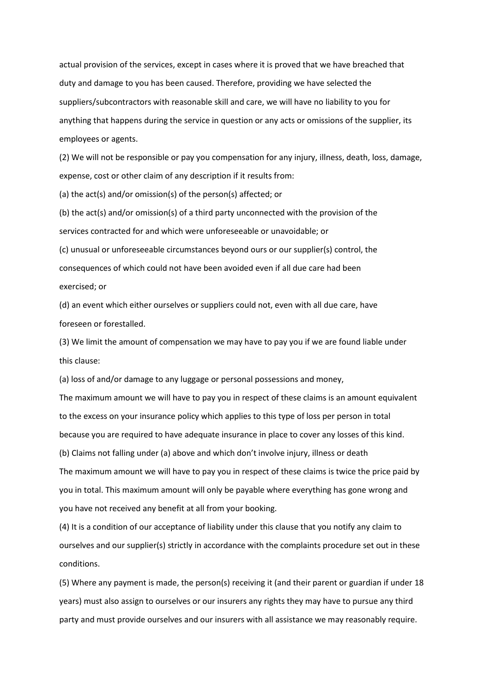actual provision of the services, except in cases where it is proved that we have breached that duty and damage to you has been caused. Therefore, providing we have selected the suppliers/subcontractors with reasonable skill and care, we will have no liability to you for anything that happens during the service in question or any acts or omissions of the supplier, its employees or agents.

(2) We will not be responsible or pay you compensation for any injury, illness, death, loss, damage, expense, cost or other claim of any description if it results from:

(a) the act(s) and/or omission(s) of the person(s) affected; or

(b) the act(s) and/or omission(s) of a third party unconnected with the provision of the services contracted for and which were unforeseeable or unavoidable; or

(c) unusual or unforeseeable circumstances beyond ours or our supplier(s) control, the consequences of which could not have been avoided even if all due care had been exercised; or

(d) an event which either ourselves or suppliers could not, even with all due care, have foreseen or forestalled.

(3) We limit the amount of compensation we may have to pay you if we are found liable under this clause:

(a) loss of and/or damage to any luggage or personal possessions and money,

The maximum amount we will have to pay you in respect of these claims is an amount equivalent to the excess on your insurance policy which applies to this type of loss per person in total because you are required to have adequate insurance in place to cover any losses of this kind.

(b) Claims not falling under (a) above and which don't involve injury, illness or death

The maximum amount we will have to pay you in respect of these claims is twice the price paid by you in total. This maximum amount will only be payable where everything has gone wrong and you have not received any benefit at all from your booking.

(4) It is a condition of our acceptance of liability under this clause that you notify any claim to ourselves and our supplier(s) strictly in accordance with the complaints procedure set out in these conditions.

(5) Where any payment is made, the person(s) receiving it (and their parent or guardian if under 18 years) must also assign to ourselves or our insurers any rights they may have to pursue any third party and must provide ourselves and our insurers with all assistance we may reasonably require.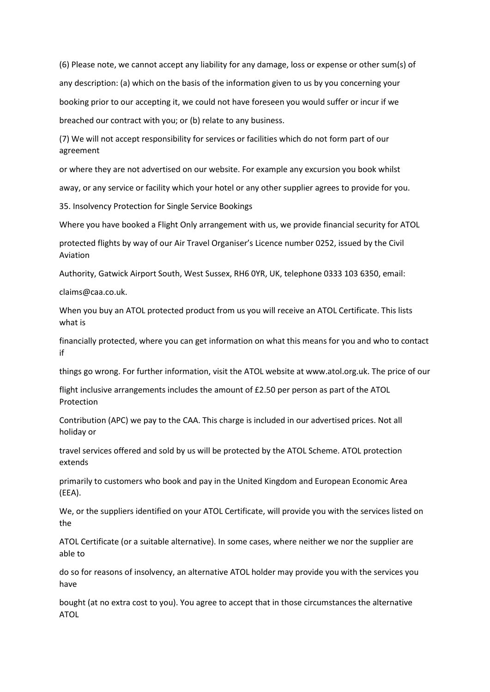(6) Please note, we cannot accept any liability for any damage, loss or expense or other sum(s) of any description: (a) which on the basis of the information given to us by you concerning your booking prior to our accepting it, we could not have foreseen you would suffer or incur if we breached our contract with you; or (b) relate to any business.

(7) We will not accept responsibility for services or facilities which do not form part of our agreement

or where they are not advertised on our website. For example any excursion you book whilst

away, or any service or facility which your hotel or any other supplier agrees to provide for you.

35. Insolvency Protection for Single Service Bookings

Where you have booked a Flight Only arrangement with us, we provide financial security for ATOL

protected flights by way of our Air Travel Organiser's Licence number 0252, issued by the Civil Aviation

Authority, Gatwick Airport South, West Sussex, RH6 0YR, UK, telephone 0333 103 6350, email:

claims@caa.co.uk.

When you buy an ATOL protected product from us you will receive an ATOL Certificate. This lists what is

financially protected, where you can get information on what this means for you and who to contact if

things go wrong. For further information, visit the ATOL website at www.atol.org.uk. The price of our

flight inclusive arrangements includes the amount of £2.50 per person as part of the ATOL Protection

Contribution (APC) we pay to the CAA. This charge is included in our advertised prices. Not all holiday or

travel services offered and sold by us will be protected by the ATOL Scheme. ATOL protection extends

primarily to customers who book and pay in the United Kingdom and European Economic Area (EEA).

We, or the suppliers identified on your ATOL Certificate, will provide you with the services listed on the

ATOL Certificate (or a suitable alternative). In some cases, where neither we nor the supplier are able to

do so for reasons of insolvency, an alternative ATOL holder may provide you with the services you have

bought (at no extra cost to you). You agree to accept that in those circumstances the alternative ATOL